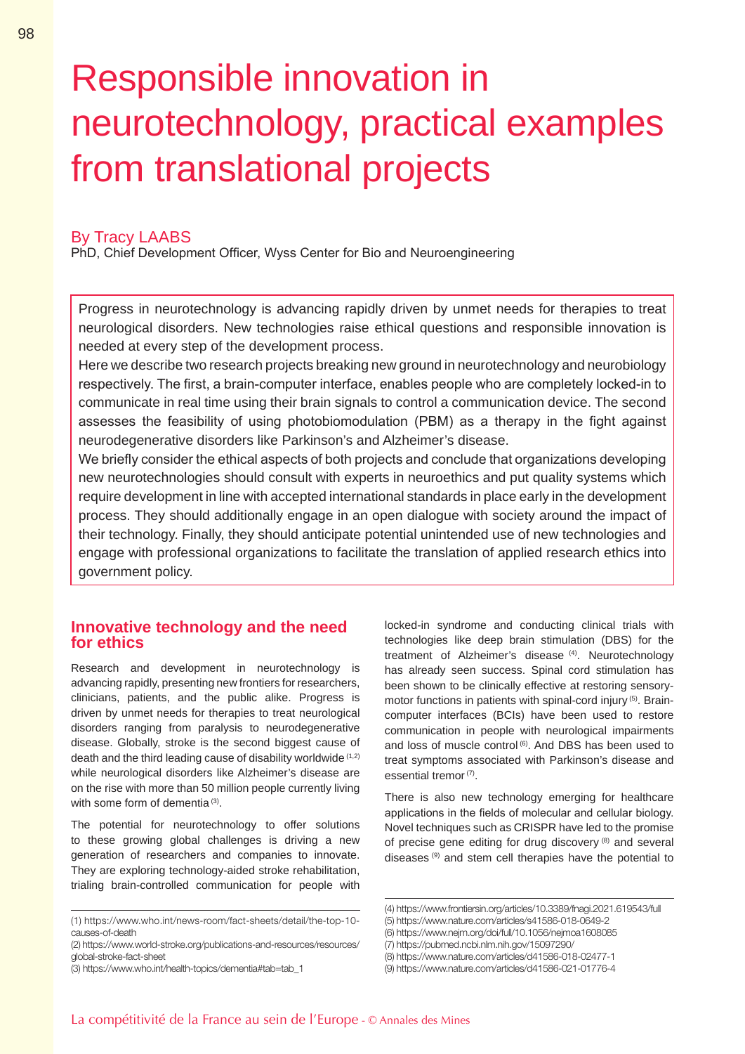# Responsible innovation in neurotechnology, practical examples from translational projects

### By Tracy LAABS

PhD, Chief Development Officer, Wyss Center for Bio and Neuroengineering

Progress in neurotechnology is advancing rapidly driven by unmet needs for therapies to treat neurological disorders. New technologies raise ethical questions and responsible innovation is needed at every step of the development process.

Here we describe two research projects breaking new ground in neurotechnology and neurobiology respectively. The first, a brain-computer interface, enables people who are completely locked-in to communicate in real time using their brain signals to control a communication device. The second assesses the feasibility of using photobiomodulation (PBM) as a therapy in the fight against neurodegenerative disorders like Parkinson's and Alzheimer's disease.

We briefly consider the ethical aspects of both projects and conclude that organizations developing new neurotechnologies should consult with experts in neuroethics and put quality systems which require development in line with accepted international standards in place early in the development process. They should additionally engage in an open dialogue with society around the impact of their technology. Finally, they should anticipate potential unintended use of new technologies and engage with professional organizations to facilitate the translation of applied research ethics into government policy.

## **Innovative technology and the need for ethics**

Research and development in neurotechnology is advancing rapidly, presenting new frontiers for researchers, clinicians, patients, and the public alike. Progress is driven by unmet needs for therapies to treat neurological disorders ranging from paralysis to neurodegenerative disease. Globally, stroke is the second biggest cause of death and the third leading cause of disability worldwide (1,2) while neurological disorders like Alzheimer's disease are on the rise with more than 50 million people currently living with some form of dementia<sup>(3)</sup>.

The potential for neurotechnology to offer solutions to these growing global challenges is driving a new generation of researchers and companies to innovate. They are exploring technology-aided stroke rehabilitation, trialing brain-controlled communication for people with

locked-in syndrome and conducting clinical trials with technologies like deep brain stimulation (DBS) for the treatment of Alzheimer's disease<sup>(4)</sup>. Neurotechnology has already seen success. Spinal cord stimulation has been shown to be clinically effective at restoring sensorymotor functions in patients with spinal-cord injury (5). Braincomputer interfaces (BCIs) have been used to restore communication in people with neurological impairments and loss of muscle control<sup>(6)</sup>. And DBS has been used to treat symptoms associated with Parkinson's disease and essential tremor<sup>(7)</sup>.

There is also new technology emerging for healthcare applications in the fields of molecular and cellular biology. Novel techniques such as CRISPR have led to the promise of precise gene editing for drug discovery (8) and several diseases (9) and stem cell therapies have the potential to

<sup>(1)</sup> https://www.who.int/news-room/fact-sheets/detail/the-top-10 causes-of-death

<sup>(2)</sup> https://www.world-stroke.org/publications-and-resources/resources/ global-stroke-fact-sheet

<sup>(3)</sup> https://www.who.int/health-topics/dementia#tab=tab\_1

<sup>(4)</sup> https://www.frontiersin.org/articles/10.3389/fnagi.2021.619543/full

<sup>(5)</sup> https://www.nature.com/articles/s41586-018-0649-2

<sup>(6)</sup> https://www.nejm.org/doi/full/10.1056/nejmoa1608085

<sup>(7)</sup> https://pubmed.ncbi.nlm.nih.gov/15097290/

<sup>(8)</sup> https://www.nature.com/articles/d41586-018-02477-1

<sup>(9)</sup> https://www.nature.com/articles/d41586-021-01776-4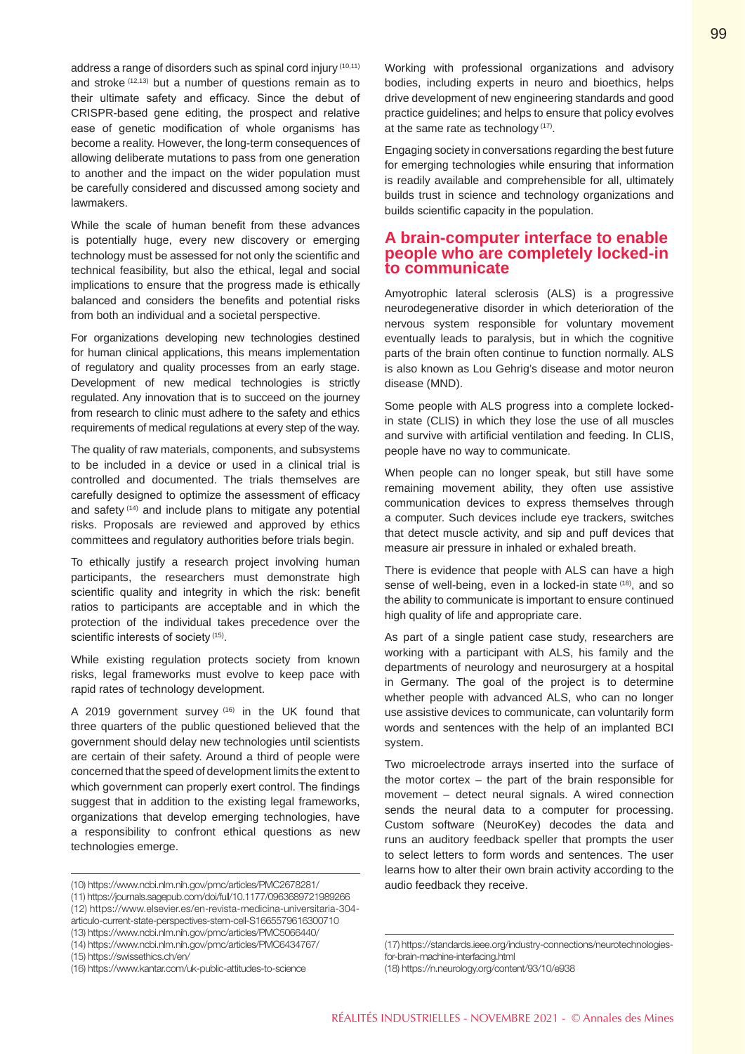address a range of disorders such as spinal cord injury (10,11) and stroke (12,13) but a number of questions remain as to their ultimate safety and efficacy. Since the debut of CRISPR-based gene editing, the prospect and relative ease of genetic modification of whole organisms has become a reality. However, the long-term consequences of allowing deliberate mutations to pass from one generation to another and the impact on the wider population must be carefully considered and discussed among society and lawmakers.

While the scale of human benefit from these advances is potentially huge, every new discovery or emerging technology must be assessed for not only the scientific and technical feasibility, but also the ethical, legal and social implications to ensure that the progress made is ethically balanced and considers the benefits and potential risks from both an individual and a societal perspective.

For organizations developing new technologies destined for human clinical applications, this means implementation of regulatory and quality processes from an early stage. Development of new medical technologies is strictly regulated. Any innovation that is to succeed on the journey from research to clinic must adhere to the safety and ethics requirements of medical regulations at every step of the way.

The quality of raw materials, components, and subsystems to be included in a device or used in a clinical trial is controlled and documented. The trials themselves are carefully designed to optimize the assessment of efficacy and safety (14) and include plans to mitigate any potential risks. Proposals are reviewed and approved by ethics committees and regulatory authorities before trials begin.

To ethically justify a research project involving human participants, the researchers must demonstrate high scientific quality and integrity in which the risk: benefit ratios to participants are acceptable and in which the protection of the individual takes precedence over the scientific interests of society (15).

While existing regulation protects society from known risks, legal frameworks must evolve to keep pace with rapid rates of technology development.

A 2019 government survey (16) in the UK found that three quarters of the public questioned believed that the government should delay new technologies until scientists are certain of their safety. Around a third of people were concerned that the speed of development limits the extent to which government can properly exert control. The findings suggest that in addition to the existing legal frameworks, organizations that develop emerging technologies, have a responsibility to confront ethical questions as new technologies emerge.

(14) https://www.ncbi.nlm.nih.gov/pmc/articles/PMC6434767/

Working with professional organizations and advisory bodies, including experts in neuro and bioethics, helps drive development of new engineering standards and good practice guidelines; and helps to ensure that policy evolves at the same rate as technology (17).

Engaging society in conversations regarding the best future for emerging technologies while ensuring that information is readily available and comprehensible for all, ultimately builds trust in science and technology organizations and builds scientific capacity in the population.

### **A brain-computer interface to enable people who are completely locked-in to communicate**

Amyotrophic lateral sclerosis (ALS) is a progressive neurodegenerative disorder in which deterioration of the nervous system responsible for voluntary movement eventually leads to paralysis, but in which the cognitive parts of the brain often continue to function normally. ALS is also known as Lou Gehrig's disease and motor neuron disease (MND).

Some people with ALS progress into a complete lockedin state (CLIS) in which they lose the use of all muscles and survive with artificial ventilation and feeding. In CLIS, people have no way to communicate.

When people can no longer speak, but still have some remaining movement ability, they often use assistive communication devices to express themselves through a computer. Such devices include eye trackers, switches that detect muscle activity, and sip and puff devices that measure air pressure in inhaled or exhaled breath.

There is evidence that people with ALS can have a high sense of well-being, even in a locked-in state <sup>(18)</sup>, and so the ability to communicate is important to ensure continued high quality of life and appropriate care.

As part of a single patient case study, researchers are working with a participant with ALS, his family and the departments of neurology and neurosurgery at a hospital in Germany. The goal of the project is to determine whether people with advanced ALS, who can no longer use assistive devices to communicate, can voluntarily form words and sentences with the help of an implanted BCI system.

Two microelectrode arrays inserted into the surface of the motor cortex – the part of the brain responsible for movement – detect neural signals. A wired connection sends the neural data to a computer for processing. Custom software (NeuroKey) decodes the data and runs an auditory feedback speller that prompts the user to select letters to form words and sentences. The user learns how to alter their own brain activity according to the audio feedback they receive.

<sup>(10)</sup> https://www.ncbi.nlm.nih.gov/pmc/articles/PMC2678281/

<sup>(11)</sup> https://journals.sagepub.com/doi/full/10.1177/0963689721989266

<sup>(12)</sup> https://www.elsevier.es/en-revista-medicina-universitaria-304 articulo-current-state-perspectives-stem-cell-S1665579616300710

<sup>(13)</sup> https://www.ncbi.nlm.nih.gov/pmc/articles/PMC5066440/

<sup>(15)</sup> https://swissethics.ch/en/

<sup>(16)</sup> https://www.kantar.com/uk-public-attitudes-to-science

<sup>(17)</sup> https://standards.ieee.org/industry-connections/neurotechnologiesfor-brain-machine-interfacing.html

<sup>(18)</sup> https://n.neurology.org/content/93/10/e938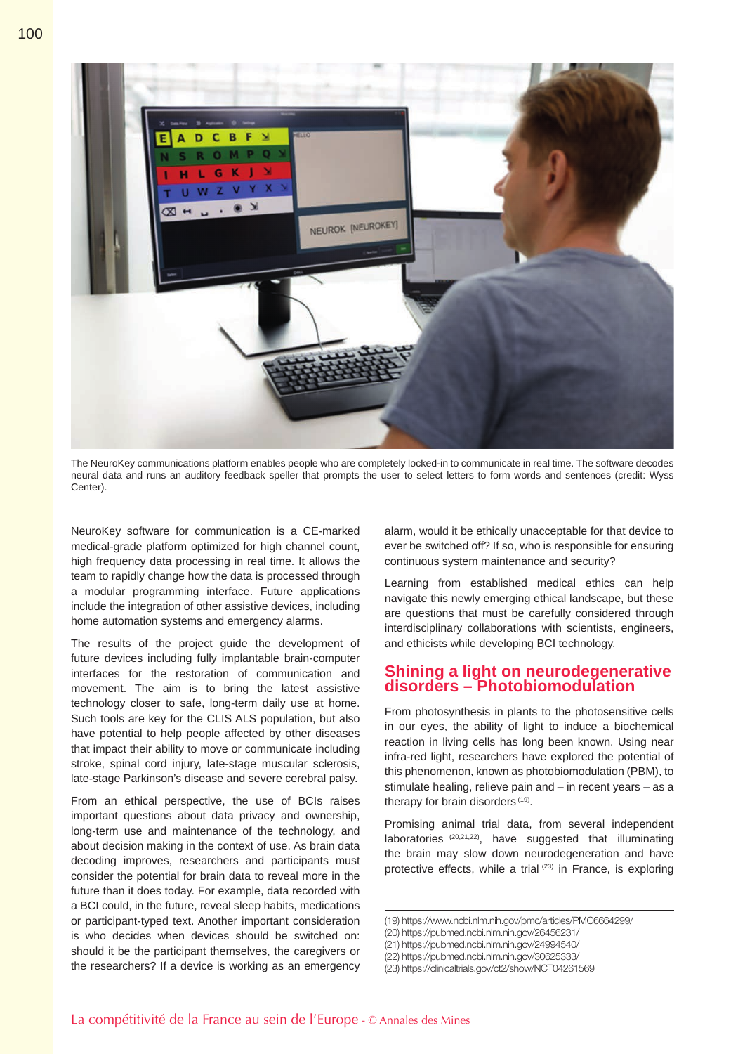

The NeuroKey communications platform enables people who are completely locked-in to communicate in real time. The software decodes neural data and runs an auditory feedback speller that prompts the user to select letters to form words and sentences (credit: Wyss Center).

NeuroKey software for communication is a CE-marked medical-grade platform optimized for high channel count, high frequency data processing in real time. It allows the team to rapidly change how the data is processed through a modular programming interface. Future applications include the integration of other assistive devices, including home automation systems and emergency alarms.

The results of the project guide the development of future devices including fully implantable brain-computer interfaces for the restoration of communication and movement. The aim is to bring the latest assistive technology closer to safe, long-term daily use at home. Such tools are key for the CLIS ALS population, but also have potential to help people affected by other diseases that impact their ability to move or communicate including stroke, spinal cord injury, late-stage muscular sclerosis, late-stage Parkinson's disease and severe cerebral palsy.

From an ethical perspective, the use of BCIs raises important questions about data privacy and ownership, long-term use and maintenance of the technology, and about decision making in the context of use. As brain data decoding improves, researchers and participants must consider the potential for brain data to reveal more in the future than it does today. For example, data recorded with a BCI could, in the future, reveal sleep habits, medications or participant-typed text. Another important consideration is who decides when devices should be switched on: should it be the participant themselves, the caregivers or the researchers? If a device is working as an emergency

alarm, would it be ethically unacceptable for that device to ever be switched off? If so, who is responsible for ensuring continuous system maintenance and security?

Learning from established medical ethics can help navigate this newly emerging ethical landscape, but these are questions that must be carefully considered through interdisciplinary collaborations with scientists, engineers, and ethicists while developing BCI technology.

#### **Shining a light on neurodegenerative disorders – Photobiomodulation**

From photosynthesis in plants to the photosensitive cells in our eyes, the ability of light to induce a biochemical reaction in living cells has long been known. Using near infra-red light, researchers have explored the potential of this phenomenon, known as photobiomodulation (PBM), to stimulate healing, relieve pain and – in recent years – as a therapy for brain disorders (19).

Promising animal trial data, from several independent laboratories (20,21,22), have suggested that illuminating the brain may slow down neurodegeneration and have protective effects, while a trial (23) in France, is exploring

<sup>(19)</sup> https://www.ncbi.nlm.nih.gov/pmc/articles/PMC6664299/

<sup>(20)</sup> https://pubmed.ncbi.nlm.nih.gov/26456231/

<sup>(21)</sup> https://pubmed.ncbi.nlm.nih.gov/24994540/

<sup>(22)</sup> https://pubmed.ncbi.nlm.nih.gov/30625333/

<sup>(23)</sup> https://clinicaltrials.gov/ct2/show/NCT04261569